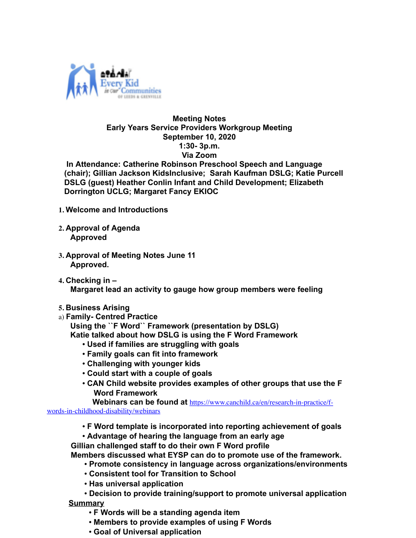

## **Meeting Notes Early Years Service Providers Workgroup Meeting September 10, 2020 1:30- 3p.m. Via Zoom**

 **In Attendance: Catherine Robinson Preschool Speech and Language (chair); Gillian Jackson KidsInclusive; Sarah Kaufman DSLG; Katie Purcell DSLG (guest) Heather Conlin Infant and Child Development; Elizabeth Dorrington UCLG; Margaret Fancy EKIOC** 

- **1. Welcome and Introductions**
- **2. Approval of Agenda Approved**
- **3. Approval of Meeting Notes June 11 Approved.**
- **4. Checking in – Margaret lead an activity to gauge how group members were feeling**
- **5. Business Arising**
- a) **Family- Centred Practice**

**Using the ``F Word`` Framework (presentation by DSLG)**

- **Katie talked about how DSLG is using the F Word Framework**
	- **Used if families are struggling with goals**
	- **Family goals can fit into framework**
	- **Challenging with younger kids**
	- **Could start with a couple of goals**
	- **CAN Child website provides examples of other groups that use the F Word Framework**

**Webinars can be found at https://www.canchild.ca/en/research-in-practice/f-**

words-in-childhood-disability/webinars

• **F Word template is incorporated into reporting achievement of goals**

• **Advantage of hearing the language from an early age Gillian challenged staff to do their own F Word profile**

 **Members discussed what EYSP can do to promote use of the framework.**

- **Promote consistency in language across organizations/environments**
- **Consistent tool for Transition to School**
- **Has universal application**

• **Decision to provide training/support to promote universal application Summary**

- **F Words will be a standing agenda item**
- **Members to provide examples of using F Words**
- **Goal of Universal application**